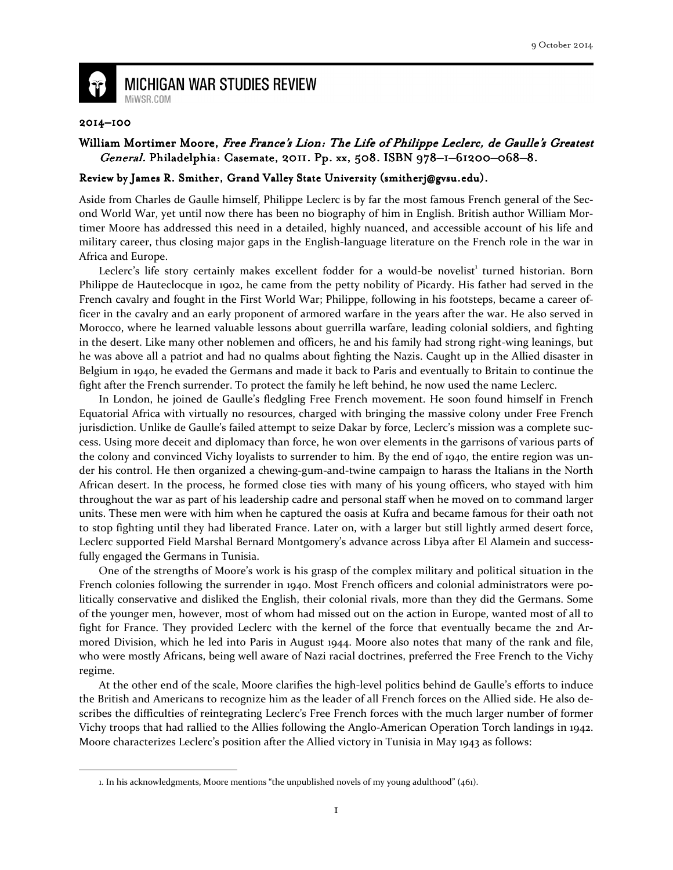

**MICHIGAN WAR STUDIES REVIEW** MiWSR.COM

## 2014–100

 $\overline{\phantom{0}}$ 

## William Mortimer Moore, Free France's Lion: The Life of Philippe Leclerc, de Gaulle's Greatest General. Philadelphia: Casemate, 2011. Pp. xx, 508. ISBN 978–1–61200–068–8.

## Review by James R. Smither, Grand Valley State University (smitherj@gvsu.edu).

Aside from Charles de Gaulle himself, Philippe Leclerc is by far the most famous French general of the Second World War, yet until now there has been no biography of him in English. British author William Mortimer Moore has addressed this need in a detailed, highly nuanced, and accessible account of his life and military career, thus closing major gaps in the English-language literature on the French role in the war in Africa and Europe.

Leclerc's life story certainly makes excellent fodder for a would-be novelist<sup>1</sup> turned historian. Born Philippe de Hauteclocque in 1902, he came from the petty nobility of Picardy. His father had served in the French cavalry and fought in the First World War; Philippe, following in his footsteps, became a career officer in the cavalry and an early proponent of armored warfare in the years after the war. He also served in Morocco, where he learned valuable lessons about guerrilla warfare, leading colonial soldiers, and fighting in the desert. Like many other noblemen and officers, he and his family had strong right-wing leanings, but he was above all a patriot and had no qualms about fighting the Nazis. Caught up in the Allied disaster in Belgium in 1940, he evaded the Germans and made it back to Paris and eventually to Britain to continue the fight after the French surrender. To protect the family he left behind, he now used the name Leclerc.

In London, he joined de Gaulle's fledgling Free French movement. He soon found himself in French Equatorial Africa with virtually no resources, charged with bringing the massive colony under Free French jurisdiction. Unlike de Gaulle's failed attempt to seize Dakar by force, Leclerc's mission was a complete success. Using more deceit and diplomacy than force, he won over elements in the garrisons of various parts of the colony and convinced Vichy loyalists to surrender to him. By the end of 1940, the entire region was under his control. He then organized a chewing-gum-and-twine campaign to harass the Italians in the North African desert. In the process, he formed close ties with many of his young officers, who stayed with him throughout the war as part of his leadership cadre and personal staff when he moved on to command larger units. These men were with him when he captured the oasis at Kufra and became famous for their oath not to stop fighting until they had liberated France. Later on, with a larger but still lightly armed desert force, Leclerc supported Field Marshal Bernard Montgomery's advance across Libya after El Alamein and successfully engaged the Germans in Tunisia.

One of the strengths of Moore's work is his grasp of the complex military and political situation in the French colonies following the surrender in 1940. Most French officers and colonial administrators were politically conservative and disliked the English, their colonial rivals, more than they did the Germans. Some of the younger men, however, most of whom had missed out on the action in Europe, wanted most of all to fight for France. They provided Leclerc with the kernel of the force that eventually became the 2nd Armored Division, which he led into Paris in August 1944. Moore also notes that many of the rank and file, who were mostly Africans, being well aware of Nazi racial doctrines, preferred the Free French to the Vichy regime.

At the other end of the scale, Moore clarifies the high-level politics behind de Gaulle's efforts to induce the British and Americans to recognize him as the leader of all French forces on the Allied side. He also describes the difficulties of reintegrating Leclerc's Free French forces with the much larger number of former Vichy troops that had rallied to the Allies following the Anglo-American Operation Torch landings in 1942. Moore characterizes Leclerc's position after the Allied victory in Tunisia in May 1943 as follows:

<sup>1.</sup> In his acknowledgments, Moore mentions "the unpublished novels of my young adulthood" (461).